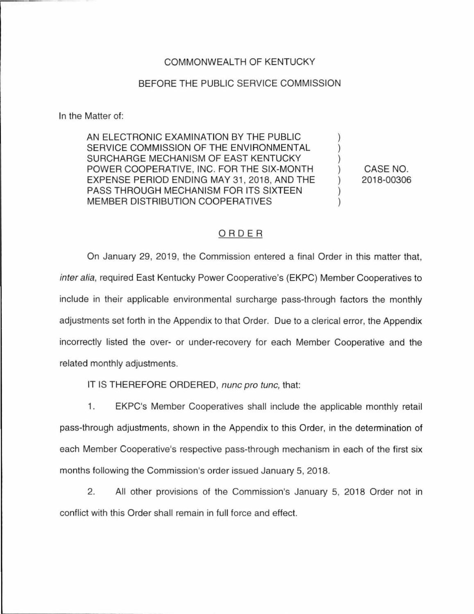### COMMONWEALTH OF KENTUCKY

#### BEFORE THE PUBLIC SERVICE COMMISSION

In the Matter of:

AN ELECTRONIC EXAMINATION BY THE PUBLIC SERVICE COMMISSION OF THE ENVIRONMENTAL SURCHARGE MECHANISM OF EAST KENTUCKY POWER COOPERATIVE, INC. FOR THE SIX-MONTH EXPENSE PERIOD ENDING MAY 31, 2018, AND THE PASS THROUGH MECHANISM FOR ITS SIXTEEN MEMBER DISTRIBUTION COOPERATIVES

CASE NO. 2018-00306

) ) ) ) ) ) )

### ORDER

On January 29, 2019, the Commission entered a final Order in this matter that, inter alia, required East Kentucky Power Cooperative's (EKPC) Member Cooperatives to include in their applicable environmental surcharge pass-through factors the monthly adjustments set forth in the Appendix to that Order. Due to a clerical error, the Appendix incorrectly listed the over- or under-recovery for each Member Cooperative and the related monthly adjustments.

IT IS THEREFORE ORDERED, nunc pro tune, that:

1. EKPC's Member Cooperatives shall include the applicable monthly retail pass-through adjustments, shown in the Appendix to this Order, in the determination of each Member Cooperative's respective pass-through mechanism in each of the first six months following the Commission's order issued January 5, 2018.

2. All other provisions of the Commission's January 5, 2018 Order not in conflict with this Order shall remain in full force and effect.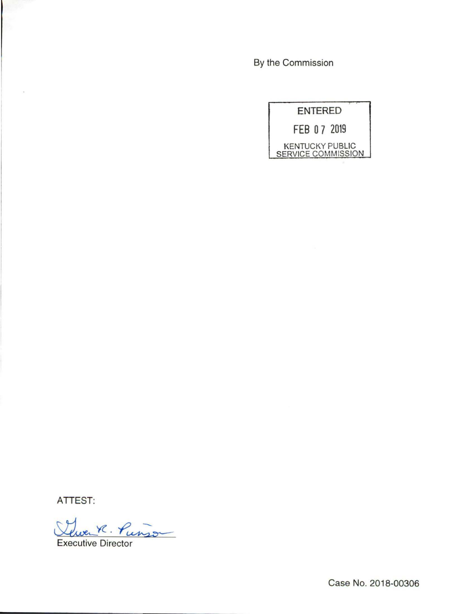By the Commission

|                    | <b>ENTERED</b> |                        |
|--------------------|----------------|------------------------|
| FEB 07 2019        |                |                        |
| SERVICE COMMISSION |                | <b>KENTUCKY PUBLIC</b> |

ATTEST:

There R. Punso

Executive Director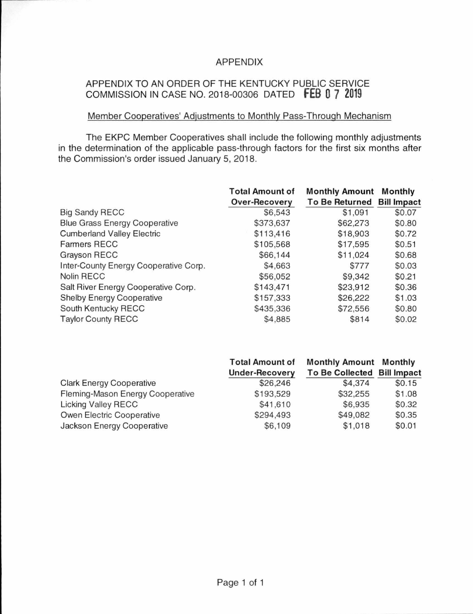## APPENDIX

# APPENDIX TO AN ORDER OF THE KENTUCKY PUBLIC SERVICE COMMISSION IN CASE NO. 2018-00306 DATED **FEB 0 7** <sup>2019</sup>

## Member Cooperatives' Adjustments to Monthly Pass-Through Mechanism

The EKPC Member Cooperatives shall include the following monthly adjustments in the determination of the applicable pass-through factors for the first six months after the Commission's order issued January 5, 2018.

|                                       | <b>Total Amount of</b><br><b>Over-Recovery</b> | <b>Monthly Amount</b><br><b>To Be Returned</b> | Monthly<br><b>Bill Impact</b> |
|---------------------------------------|------------------------------------------------|------------------------------------------------|-------------------------------|
| <b>Big Sandy RECC</b>                 | \$6,543                                        | \$1,091                                        | \$0.07                        |
| <b>Blue Grass Energy Cooperative</b>  | \$373,637                                      | \$62,273                                       | \$0.80                        |
| <b>Cumberland Valley Electric</b>     | \$113,416                                      | \$18,903                                       | \$0.72                        |
| <b>Farmers RECC</b>                   | \$105,568                                      | \$17,595                                       | \$0.51                        |
| Grayson RECC                          | \$66,144                                       | \$11,024                                       | \$0.68                        |
| Inter-County Energy Cooperative Corp. | \$4,663                                        | \$777                                          | \$0.03                        |
| <b>Nolin RECC</b>                     | \$56,052                                       | \$9,342                                        | \$0.21                        |
| Salt River Energy Cooperative Corp.   | \$143,471                                      | \$23,912                                       | \$0.36                        |
| <b>Shelby Energy Cooperative</b>      | \$157,333                                      | \$26,222                                       | \$1.03                        |
| South Kentucky RECC                   | \$435,336                                      | \$72,556                                       | \$0.80                        |
| <b>Taylor County RECC</b>             | \$4,885                                        | \$814                                          | \$0.02                        |

|                                  | <b>Total Amount of</b> | <b>Monthly Amount Monthly</b> |        |
|----------------------------------|------------------------|-------------------------------|--------|
|                                  | <b>Under-Recovery</b>  | To Be Collected Bill Impact   |        |
| <b>Clark Energy Cooperative</b>  | \$26,246               | \$4,374                       | \$0.15 |
| Fleming-Mason Energy Cooperative | \$193,529              | \$32,255                      | \$1.08 |
| <b>Licking Valley RECC</b>       | \$41,610               | \$6,935                       | \$0.32 |
| Owen Electric Cooperative        | \$294,493              | \$49,082                      | \$0.35 |
| Jackson Energy Cooperative       | \$6,109                | \$1,018                       | \$0.01 |